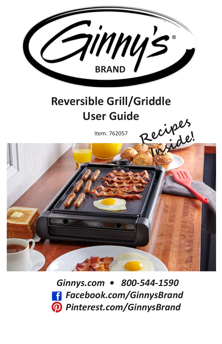

### **Reversible Grill/Griddle User Guide**

Item: 762057



 *Ginnys.com • 800-544-1590 Facebook.com/GinnysBrand Pinterest.com/GinnysBrand*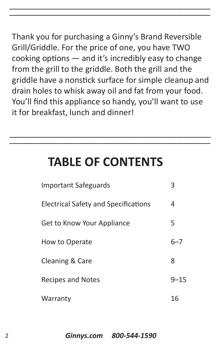Thank you for purchasing a Ginny's Brand Reversible Grill/Griddle. For the price of one, you have TWO cooking options — and it's incredibly easy to change from the grill to the griddle. Both the grill and the griddle have a nonstick surface for simple cleanup and drain holes to whisk away oil and fat from your food. You'll find this appliance so handy, you'll want to use it for breakfast, lunch and dinner!

**\_\_\_\_\_\_\_\_\_\_\_\_\_\_\_\_\_\_\_\_\_\_\_\_\_\_\_\_\_\_\_\_\_\_\_\_\_\_\_\_\_\_\_\_\_\_\_\_\_\_\_\_\_\_\_\_\_\_\_\_**

**\_\_\_\_\_\_\_\_\_\_\_\_\_\_\_\_\_\_\_\_\_\_\_\_\_\_\_\_\_\_\_\_\_\_\_\_\_\_\_\_\_\_\_\_\_\_\_\_\_\_\_\_\_\_\_\_\_\_\_\_**

### **TABLE OF CONTENTS**

**\_\_\_\_\_\_\_\_\_\_\_\_\_\_\_\_\_\_\_\_\_\_\_\_\_\_\_\_\_\_\_\_\_\_\_\_\_\_\_\_\_\_\_\_\_\_\_\_\_\_\_\_\_\_\_\_\_\_\_\_**

**\_\_\_\_\_\_\_\_\_\_\_\_\_\_\_\_\_\_\_\_\_\_\_\_\_\_\_\_\_\_\_\_\_\_\_\_\_\_\_\_\_\_\_\_\_\_\_\_\_\_\_\_\_\_\_\_\_\_\_\_**

| <b>Important Safeguards</b>                 | 3        |
|---------------------------------------------|----------|
| <b>Electrical Safety and Specifications</b> | 4        |
| Get to Know Your Appliance                  | 5        |
| How to Operate                              | $6 - 7$  |
| Cleaning & Care                             | 8        |
| <b>Recipes and Notes</b>                    | $9 - 15$ |
| Warranty                                    | 16       |

2 *Ginnys.com 800-544-1590*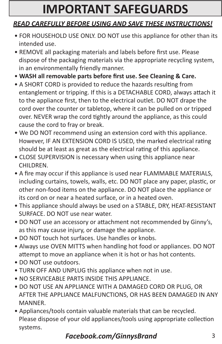## **IMPORTANT SAFEGUARDS**

#### *READ CAREFULLY BEFORE USING AND SAVE THESE INSTRUCTIONS!*

- FOR HOUSEHOLD USE ONLY. DO NOT use this appliance for other than its intended use.
- REMOVE all packaging materials and labels before first use. Please dispose of the packaging materials via the appropriate recycling system, in an environmentally friendly manner.
- **WASH all removable parts before first use. See Cleaning & Care.**
- A SHORT CORD is provided to reduce the hazards resulting from entanglement or tripping. If this is a DETACHABLE CORD, always attach it to the appliance first, then to the electrical outlet. DO NOT drape the cord over the counter or tabletop, where it can be pulled on or tripped over. NEVER wrap the cord tightly around the appliance, as this could cause the cord to fray or break.
- We DO NOT recommend using an extension cord with this appliance. However, IF AN EXTENSION CORD IS USED, the marked electrical rating should be at least as great as the electrical rating of this appliance.
- CLOSE SUPERVISION is necessary when using this appliance near CHILDREN.
- A fire may occur if this appliance is used near FLAMMABLE MATERIALS, including curtains, towels, walls, etc. DO NOT place any paper, plastic, or other non-food items on the appliance. DO NOT place the appliance or its cord on or near a heated surface, or in a heated oven.
- This appliance should always be used on a STABLE, DRY, HEAT-RESISTANT SURFACE. DO NOT use near water.
- DO NOT use an accessory or attachment not recommended by Ginny's, as this may cause injury, or damage the appliance.
- DO NOT touch hot surfaces. Use handles or knobs.
- Always use OVEN MITTS when handling hot food or appliances. DO NOT attempt to move an appliance when it is hot or has hot contents.
- DO NOT use outdoors.
- TURN OFF AND UNPLUG this appliance when not in use.
- NO SERVICEABLE PARTS INSIDE THIS APPLIANCE.
- DO NOT USE AN APPLIANCE WITH A DAMAGED CORD OR PLUG, OR AFTER THE APPLIANCE MALFUNCTIONS, OR HAS BEEN DAMAGED IN ANY MANNER.
- Appliances/tools contain valuable materials that can be recycled. Please dispose of your old appliances/tools using appropriate collection systems.

### *Facebook.com/GinnysBrand* 3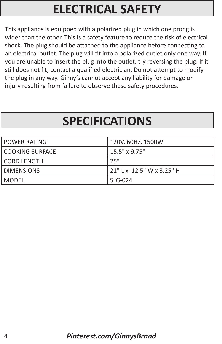## **ELECTRICAL SAFETY**

This appliance is equipped with a polarized plug in which one prong is wider than the other. This is a safety feature to reduce the risk of electrical shock. The plug should be attached to the appliance before connecting to an electrical outlet. The plug will fit into a polarized outlet only one way. If you are unable to insert the plug into the outlet, try reversing the plug. If it still does not fit, contact a qualified electrician. Do not attempt to modify the plug in any way. Ginny's cannot accept any liability for damage or injury resulting from failure to observe these safety procedures.

## **SPECIFICATIONS**

| <b>POWER RATING</b> | 120V, 60Hz, 1500W         |
|---------------------|---------------------------|
| COOKING SURFACE     | 15.5" x 9.75"             |
| CORD LENGTH         | 25"                       |
| <b>DIMENSIONS</b>   | 21" L x 12.5" W x 3.25" H |
| MODEL               | SLG-024                   |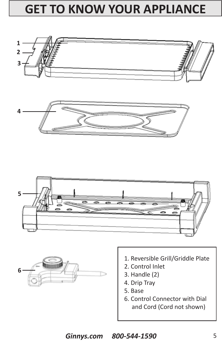## **GET TO KNOW YOUR APPLIANCE**









- 1. Reversible Grill/Griddle Plate
- 2. Control Inlet
- 3. Handle (2)
- 4. Drip Tray
- 5. Base
- 6. Control Connector with Dial and Cord (Cord not shown)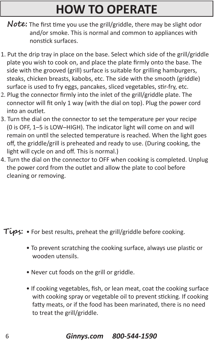## **HOW TO OPERATE**

- **Note:** The first time you use the grill/griddle, there may be slight odor and/or smoke. This is normal and common to appliances with nonstick surfaces.
- 1. Put the drip tray in place on the base. Select which side of the grill/griddle plate you wish to cook on, and place the plate firmly onto the base. The side with the grooved (grill) surface is suitable for grilling hamburgers, steaks, chicken breasts, kabobs, etc. The side with the smooth (griddle) surface is used to fry eggs, pancakes, sliced vegetables, stir-fry, etc.
- 2. Plug the connector firmly into the inlet of the grill/griddle plate. The connector will fit only 1 way (with the dial on top). Plug the power cord into an outlet.
- 3. Turn the dial on the connector to set the temperature per your recipe (0 is OFF, 1–5 is LOW–HIGH). The indicator light will come on and will remain on until the selected temperature is reached. When the light goes off, the griddle/grill is preheated and ready to use. (During cooking, the light will cycle on and off. This is normal.)
- 4. Turn the dial on the connector to OFF when cooking is completed. Unplug the power cord from the outlet and allow the plate to cool before cleaning or removing.

- **Tips:** For best results, preheat the grill/griddle before cooking.
	- To prevent scratching the cooking surface, always use plastic or wooden utensils.
	- Never cut foods on the grill or griddle.
	- If cooking vegetables, fish, or lean meat, coat the cooking surface with cooking spray or vegetable oil to prevent sticking. If cooking fatty meats, or if the food has been marinated, there is no need to treat the grill/griddle.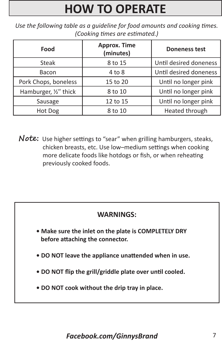# **HOW TO OPERATE**

*Use the following table as a guideline for food amounts and cooking times. (Cooking times are estimated.)*

| Food                  | <b>Approx. Time</b><br>(minutes) | <b>Doneness test</b>   |
|-----------------------|----------------------------------|------------------------|
| <b>Steak</b>          | 8 to 15                          | Until desired doneness |
| <b>Bacon</b>          | $4$ to $8$                       | Until desired doneness |
| Pork Chops, boneless  | 15 to 20                         | Until no longer pink   |
| Hamburger, 1/2" thick | 8 to 10                          | Until no longer pink   |
| Sausage               | 12 to 15                         | Until no longer pink   |
| Hot Dog               | 8 to 10                          | Heated through         |

**Note:** Use higher settings to "sear" when grilling hamburgers, steaks, chicken breasts, etc. Use low–medium settings when cooking more delicate foods like hotdogs or fish, or when reheating previously cooked foods.

#### **WARNINGS:**

- **Make sure the inlet on the plate is COMPLETELY DRY before attaching the connector.**
- **DO NOT leave the appliance unattended when in use.**
- **DO NOT flip the grill/griddle plate over until cooled.**
- **DO NOT cook without the drip tray in place.**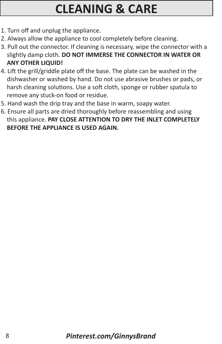## **CLEANING & CARE**

- 1. Turn off and unplug the appliance.
- 2. Always allow the appliance to cool completely before cleaning.
- 3. Pull out the connector. If cleaning is necessary, wipe the connector with a slightly damp cloth. **DO NOT IMMERSE THE CONNECTOR IN WATER OR ANY OTHER LIQUID!**
- 4. Lift the grill/griddle plate off the base. The plate can be washed in the dishwasher or washed by hand. Do not use abrasive brushes or pads, or harsh cleaning solutions. Use a soft cloth, sponge or rubber spatula to remove any stuck-on food or residue.
- 5. Hand wash the drip tray and the base in warm, soapy water.
- 6. Ensure all parts are dried thoroughly before reassembling and using this appliance. **PAY CLOSE ATTENTION TO DRY THE INLET COMPLETELY BEFORE THE APPLIANCE IS USED AGAIN.**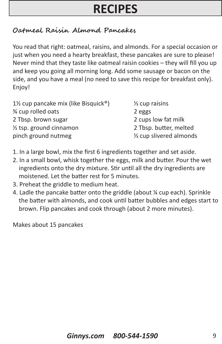#### **Oatmeal Raisin Almond Pancakes**

You read that right: oatmeal, raisins, and almonds. For a special occasion or just when you need a hearty breakfast, these pancakes are sure to please! Never mind that they taste like oatmeal raisin cookies – they will fill you up and keep you going all morning long. Add some sausage or bacon on the side, and you have a meal (no need to save this recipe for breakfast only). Enjoy!

| 1½ cup pancake mix (like Bisquick <sup>®</sup> ) | $\frac{1}{3}$ cup raisins            |
|--------------------------------------------------|--------------------------------------|
| % cup rolled oats                                | 2 eggs                               |
| 2 Tbsp. brown sugar                              | 2 cups low fat milk                  |
| $\frac{1}{2}$ tsp. ground cinnamon               | 2 Tbsp. butter, melted               |
| pinch ground nutmeg                              | 1/ <sub>3</sub> cup slivered almonds |

- 1. In a large bowl, mix the first 6 ingredients together and set aside.
- 2. In a small bowl, whisk together the eggs, milk and butter. Pour the wet ingredients onto the dry mixture. Stir until all the dry ingredients are moistened. Let the batter rest for 5 minutes.
- 3. Preheat the griddle to medium heat.
- 4. Ladle the pancake batter onto the griddle (about ¼ cup each). Sprinkle the batter with almonds, and cook until batter bubbles and edges start to brown. Flip pancakes and cook through (about 2 more minutes).

Makes about 15 pancakes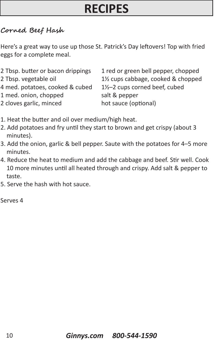#### **Corned Beef Hash**

Here's a great way to use up those St. Patrick's Day leftovers! Top with fried eggs for a complete meal.

| 2 Tbsp. butter or bacon drippings | 1 red or green bell pepper, chopped                          |
|-----------------------------------|--------------------------------------------------------------|
| 2 Tbsp. vegetable oil             | 1 <sup>1</sup> / <sub>2</sub> cups cabbage, cooked & chopped |
| 4 med. potatoes, cooked & cubed   | 1½-2 cups corned beef, cubed                                 |
| 1 med. onion, chopped             | salt & pepper                                                |
| 2 cloves garlic, minced           | hot sauce (optional)                                         |
|                                   |                                                              |

- 1. Heat the butter and oil over medium/high heat.
- 2. Add potatoes and fry until they start to brown and get crispy (about 3 minutes).
- 3. Add the onion, garlic & bell pepper. Saute with the potatoes for 4–5 more minutes.
- 4. Reduce the heat to medium and add the cabbage and beef. Stir well. Cook 10 more minutes until all heated through and crispy. Add salt & pepper to taste.
- 5. Serve the hash with hot sauce.

Serves 4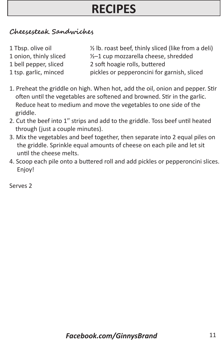#### **Cheesesteak Sandwiches**

| 1 Tbsp. olive oil      | 1/2 lb. roast beef, thinly sliced (like from a deli) |
|------------------------|------------------------------------------------------|
| 1 onion, thinly sliced | 1/2-1 cup mozzarella cheese, shredded                |
| 1 bell pepper, sliced  | 2 soft hoagie rolls, buttered                        |
| 1 tsp. garlic, minced  | pickles or pepperoncini for garnish, sliced          |

- 1. Preheat the griddle on high. When hot, add the oil, onion and pepper. Stir often until the vegetables are softened and browned. Stir in the garlic. Reduce heat to medium and move the vegetables to one side of the griddle.
- 2. Cut the beef into 1" strips and add to the griddle. Toss beef until heated through (just a couple minutes).
- 3. Mix the vegetables and beef together, then separate into 2 equal piles on the griddle. Sprinkle equal amounts of cheese on each pile and let sit until the cheese melts.
- 4. Scoop each pile onto a buttered roll and add pickles or pepperoncini slices. Enjoy!

Serves 2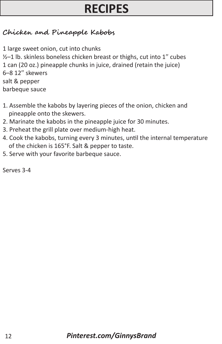#### **Chicken and Pineapple Kabobs**

1 large sweet onion, cut into chunks  $1/2$ –1 lb. skinless boneless chicken breast or thighs, cut into 1<sup>"</sup> cubes 1 can (20 oz.) pineapple chunks in juice, drained (retain the juice) 6–8 12" skewers salt & pepper barbeque sauce

- 1. Assemble the kabobs by layering pieces of the onion, chicken and pineapple onto the skewers.
- 2. Marinate the kabobs in the pineapple juice for 30 minutes.
- 3. Preheat the grill plate over medium-high heat.
- 4. Cook the kabobs, turning every 3 minutes, until the internal temperature of the chicken is 165°F. Salt & pepper to taste.
- 5. Serve with your favorite barbeque sauce.

Serves 3-4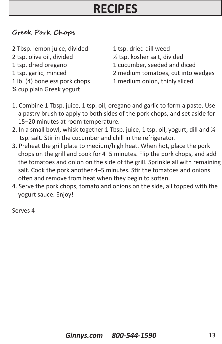#### **Greek Pork Chops**

2 Tbsp. lemon juice, divided 1 tsp. dried dill weed 2 tsp. olive oil, divided ½ tsp. kosher salt, divided ¾ cup plain Greek yogurt

- 1 tsp. dried oregano 1 cucumber, seeded and diced
- 1 tsp. garlic, minced 2 medium tomatoes, cut into wedges
- 1 lb. (4) boneless pork chops 1 medium onion, thinly sliced
- 1. Combine 1 Tbsp. juice, 1 tsp. oil, oregano and garlic to form a paste. Use a pastry brush to apply to both sides of the pork chops, and set aside for 15–20 minutes at room temperature.
- 2. In a small bowl, whisk together 1 Tbsp. juice, 1 tsp. oil, yogurt, dill and ¼ tsp. salt. Stir in the cucumber and chill in the refrigerator.
- 3. Preheat the grill plate to medium/high heat. When hot, place the pork chops on the grill and cook for 4–5 minutes. Flip the pork chops, and add the tomatoes and onion on the side of the grill. Sprinkle all with remaining salt. Cook the pork another 4–5 minutes. Stir the tomatoes and onions often and remove from heat when they begin to soften.
- 4. Serve the pork chops, tomato and onions on the side, all topped with the yogurt sauce. Enjoy!

Serves 4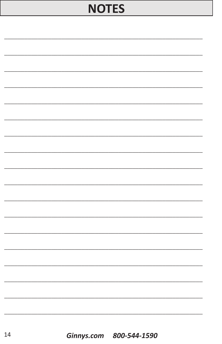### **NOTES**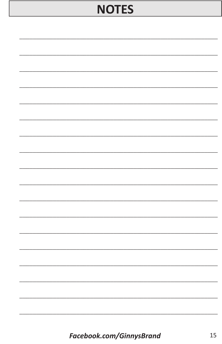### **NOTES**